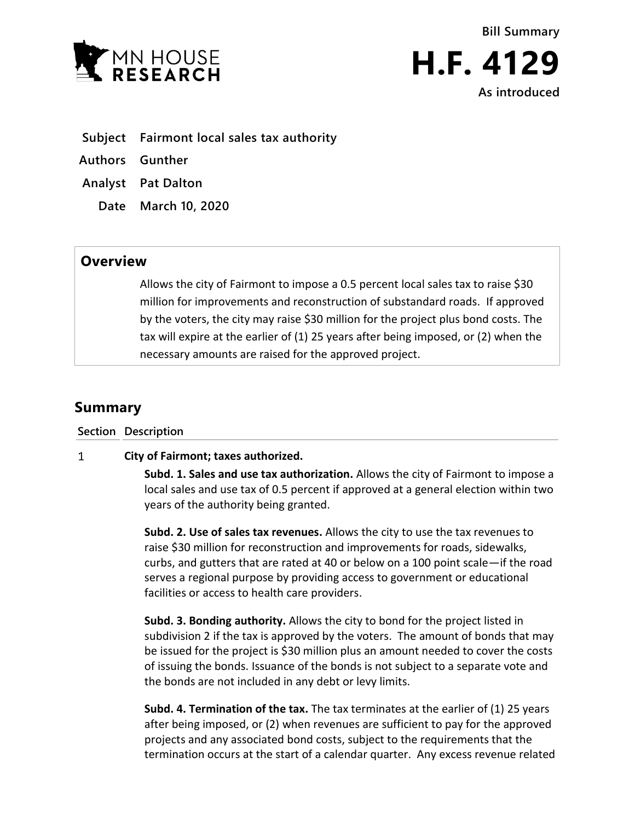



**Subject Fairmont local sales tax authority** 

**Authors Gunther**

**Analyst Pat Dalton**

**Date March 10, 2020**

## **Overview**

Allows the city of Fairmont to impose a 0.5 percent local sales tax to raise \$30 million for improvements and reconstruction of substandard roads. If approved by the voters, the city may raise \$30 million for the project plus bond costs. The tax will expire at the earlier of (1) 25 years after being imposed, or (2) when the necessary amounts are raised for the approved project.

## **Summary**

**Section Description**

## $\mathbf{1}$ **City of Fairmont; taxes authorized.**

**Subd. 1. Sales and use tax authorization.** Allows the city of Fairmont to impose a local sales and use tax of 0.5 percent if approved at a general election within two years of the authority being granted.

**Subd. 2. Use of sales tax revenues.** Allows the city to use the tax revenues to raise \$30 million for reconstruction and improvements for roads, sidewalks, curbs, and gutters that are rated at 40 or below on a 100 point scale—if the road serves a regional purpose by providing access to government or educational facilities or access to health care providers.

**Subd. 3. Bonding authority.** Allows the city to bond for the project listed in subdivision 2 if the tax is approved by the voters. The amount of bonds that may be issued for the project is \$30 million plus an amount needed to cover the costs of issuing the bonds. Issuance of the bonds is not subject to a separate vote and the bonds are not included in any debt or levy limits.

**Subd. 4. Termination of the tax.** The tax terminates at the earlier of (1) 25 years after being imposed, or (2) when revenues are sufficient to pay for the approved projects and any associated bond costs, subject to the requirements that the termination occurs at the start of a calendar quarter. Any excess revenue related